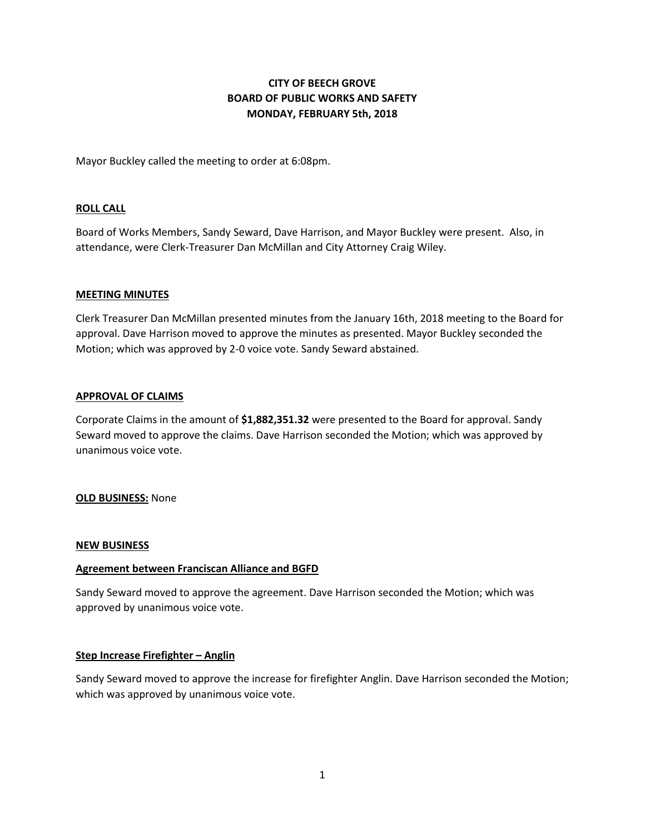# **CITY OF BEECH GROVE BOARD OF PUBLIC WORKS AND SAFETY MONDAY, FEBRUARY 5th, 2018**

Mayor Buckley called the meeting to order at 6:08pm.

## **ROLL CALL**

Board of Works Members, Sandy Seward, Dave Harrison, and Mayor Buckley were present. Also, in attendance, were Clerk-Treasurer Dan McMillan and City Attorney Craig Wiley.

## **MEETING MINUTES**

Clerk Treasurer Dan McMillan presented minutes from the January 16th, 2018 meeting to the Board for approval. Dave Harrison moved to approve the minutes as presented. Mayor Buckley seconded the Motion; which was approved by 2-0 voice vote. Sandy Seward abstained.

## **APPROVAL OF CLAIMS**

Corporate Claims in the amount of **\$1,882,351.32** were presented to the Board for approval. Sandy Seward moved to approve the claims. Dave Harrison seconded the Motion; which was approved by unanimous voice vote.

**OLD BUSINESS:** None

#### **NEW BUSINESS**

#### **Agreement between Franciscan Alliance and BGFD**

Sandy Seward moved to approve the agreement. Dave Harrison seconded the Motion; which was approved by unanimous voice vote.

# **Step Increase Firefighter – Anglin**

Sandy Seward moved to approve the increase for firefighter Anglin. Dave Harrison seconded the Motion; which was approved by unanimous voice vote.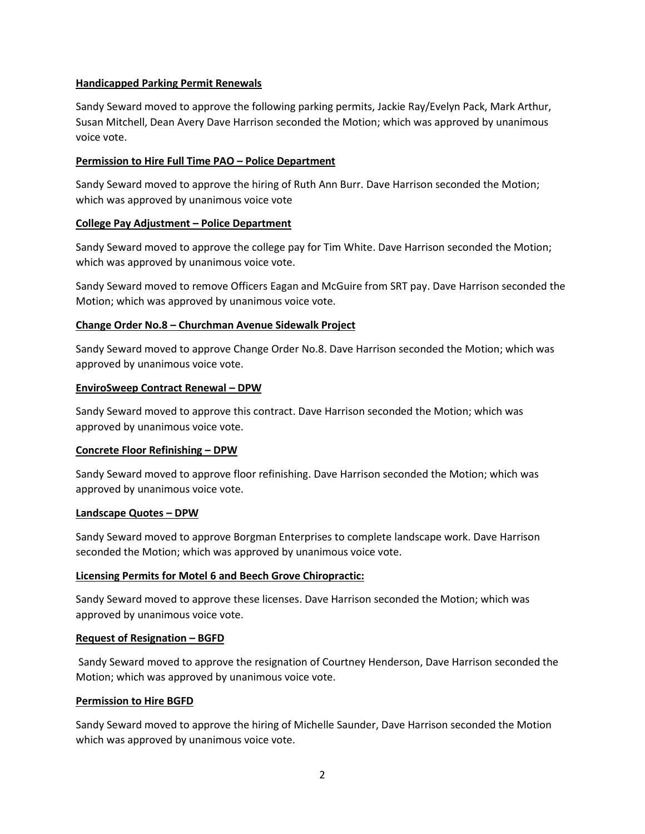# **Handicapped Parking Permit Renewals**

Sandy Seward moved to approve the following parking permits, Jackie Ray/Evelyn Pack, Mark Arthur, Susan Mitchell, Dean Avery Dave Harrison seconded the Motion; which was approved by unanimous voice vote.

## **Permission to Hire Full Time PAO – Police Department**

Sandy Seward moved to approve the hiring of Ruth Ann Burr. Dave Harrison seconded the Motion; which was approved by unanimous voice vote

## **College Pay Adjustment – Police Department**

Sandy Seward moved to approve the college pay for Tim White. Dave Harrison seconded the Motion; which was approved by unanimous voice vote.

Sandy Seward moved to remove Officers Eagan and McGuire from SRT pay. Dave Harrison seconded the Motion; which was approved by unanimous voice vote.

## **Change Order No.8 – Churchman Avenue Sidewalk Project**

Sandy Seward moved to approve Change Order No.8. Dave Harrison seconded the Motion; which was approved by unanimous voice vote.

## **EnviroSweep Contract Renewal – DPW**

Sandy Seward moved to approve this contract. Dave Harrison seconded the Motion; which was approved by unanimous voice vote.

#### **Concrete Floor Refinishing – DPW**

Sandy Seward moved to approve floor refinishing. Dave Harrison seconded the Motion; which was approved by unanimous voice vote.

#### **Landscape Quotes – DPW**

Sandy Seward moved to approve Borgman Enterprises to complete landscape work. Dave Harrison seconded the Motion; which was approved by unanimous voice vote.

# **Licensing Permits for Motel 6 and Beech Grove Chiropractic:**

Sandy Seward moved to approve these licenses. Dave Harrison seconded the Motion; which was approved by unanimous voice vote.

#### **Request of Resignation – BGFD**

Sandy Seward moved to approve the resignation of Courtney Henderson, Dave Harrison seconded the Motion; which was approved by unanimous voice vote.

# **Permission to Hire BGFD**

Sandy Seward moved to approve the hiring of Michelle Saunder, Dave Harrison seconded the Motion which was approved by unanimous voice vote.